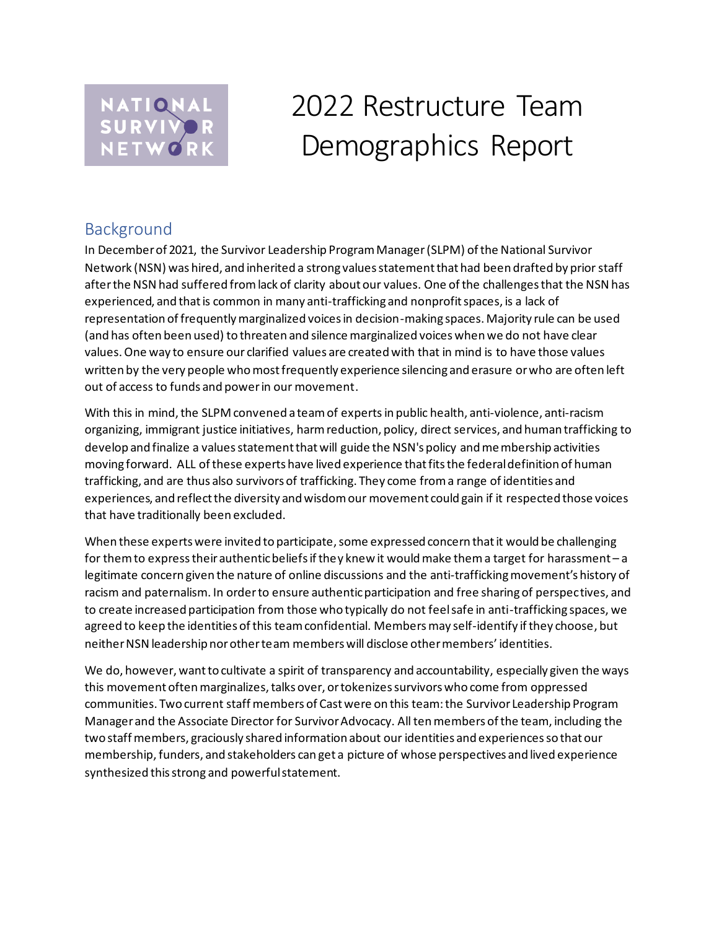

# 2022 Restructure Team Demographics Report

## Background

In December of 2021, the Survivor Leadership Program Manager(SLPM) of the National Survivor Network (NSN) was hired, and inherited a strong values statement that had been drafted by prior staff after the NSN had suffered from lack of clarity about our values. One of the challenges that the NSN has experienced, and that is common in many anti-trafficking and nonprofit spaces, is a lack of representation of frequently marginalized voices in decision-making spaces. Majority rule can be used (and has often been used) to threaten and silence marginalized voices when we do not have clear values. One way to ensure our clarified values are created with that in mind is to have those values written by the very people who most frequently experience silencing and erasure or who are often left out of access to funds and power in our movement.

With this in mind, the SLPM convened a team of experts in public health, anti-violence, anti-racism organizing, immigrant justice initiatives, harm reduction, policy, direct services, and human trafficking to develop and finalize a values statement that will guide the NSN's policy and membership activities moving forward. ALL of these experts have lived experience that fits the federal definition of human trafficking, and are thus also survivors of trafficking. They come from a range of identities and experiences, and reflect the diversity and wisdom our movement could gain if it respected those voices that have traditionally been excluded.

When these experts were invited to participate, some expressed concern that it would be challenging for them to express their authentic beliefs if they knew it would make them a target for harassment – a legitimate concern given the nature of online discussions and the anti-trafficking movement's history of racism and paternalism. In order to ensure authentic participation and free sharing of perspectives, and to create increased participation from those who typically do not feel safe in anti-trafficking spaces, we agreed to keep the identities of this team confidential. Members may self-identify if they choose, but neither NSN leadership nor other team members will disclose other members' identities.

We do, however, want to cultivate a spirit of transparency and accountability, especially given the ways this movement often marginalizes, talks over, or tokenizes survivors who come from oppressed communities. Two current staff members of Cast were on this team: the Survivor Leadership Program Manager and the Associate Director for Survivor Advocacy. All tenmembers of the team, including the two staff members, graciously shared information about our identities and experiences so that our membership, funders, and stakeholders can get a picture of whose perspectives and lived experience synthesized this strong and powerful statement.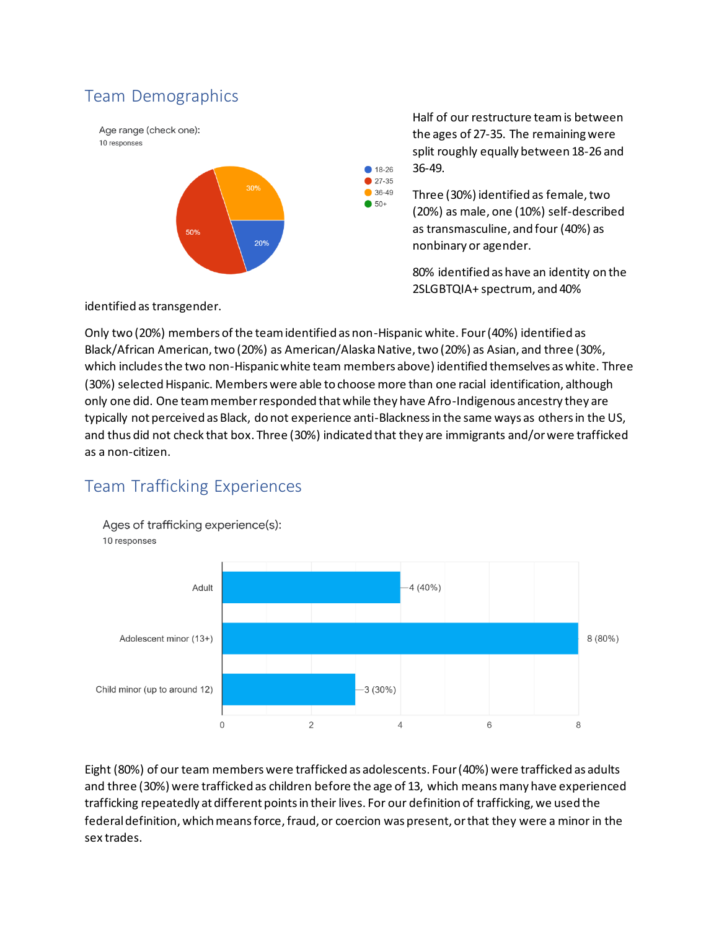## Team Demographics

Age range (check one): 10 responses



Half of our restructure team is between the ages of 27-35. The remaining were split roughly equally between 18-26 and 36-49.

Three (30%) identified as female, two (20%) as male, one (10%) self-described as transmasculine, and four (40%) as nonbinary or agender.

80% identified as have an identity on the 2SLGBTQIA+ spectrum, and 40%

identified as transgender.

Only two (20%) members of the team identified as non-Hispanic white. Four (40%) identified as Black/African American, two (20%) as American/Alaska Native, two (20%) as Asian, and three (30%, which includes the two non-Hispanic white team members above) identified themselves as white. Three (30%) selected Hispanic. Members were able to choose more than one racial identification, although only one did. One team member responded that while they have Afro-Indigenous ancestry they are typically not perceived as Black, do not experience anti-Blackness in the same ways as others in the US, and thus did not check that box. Three (30%) indicated that they are immigrants and/or were trafficked as a non-citizen.

● 18-26 27-35  $36-49$  $• 50+$ 

## Team Trafficking Experiences



Eight (80%) of our team members were trafficked as adolescents. Four (40%) were trafficked as adults and three (30%) were trafficked as children before the age of 13, which means many have experienced trafficking repeatedly at different points in their lives. For our definition of trafficking, we used the federal definition, which means force, fraud, or coercion was present, or that they were a minor in the sex trades.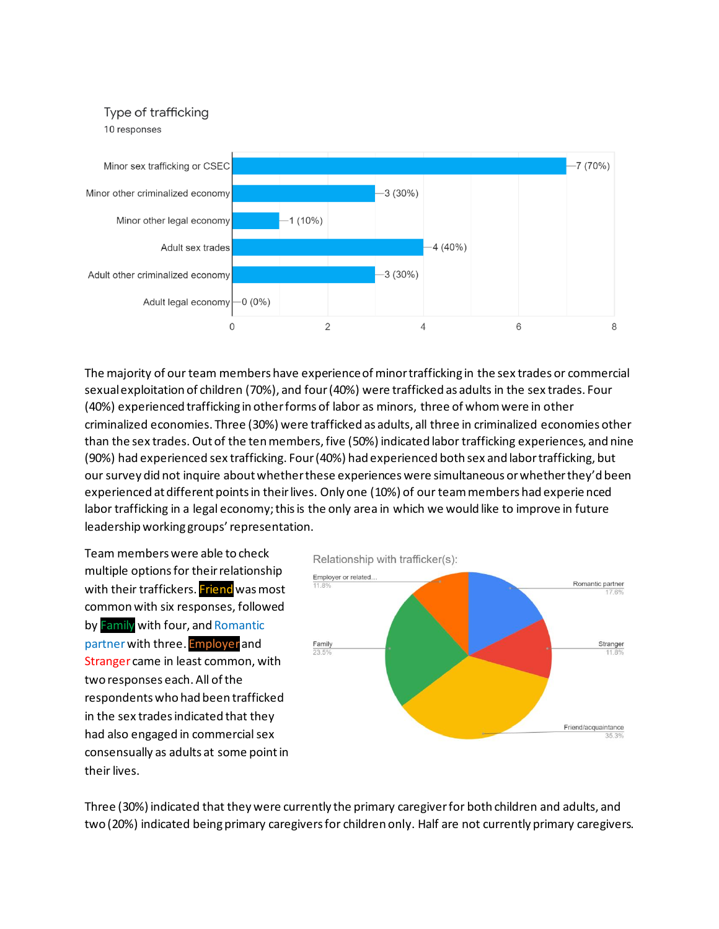#### Type of trafficking

10 responses



The majority of our team members have experience of minor trafficking in the sex trades or commercial sexual exploitation of children (70%), and four (40%) were trafficked as adults in the sex trades. Four (40%) experienced trafficking in other forms of labor as minors, three of whom were in other criminalized economies. Three (30%) were trafficked as adults, all three in criminalized economies other than the sex trades. Out of the ten members, five (50%) indicated labor trafficking experiences, and nine (90%) had experienced sex trafficking. Four(40%) had experienced both sex and labor trafficking, but our survey did not inquire about whether these experiences were simultaneous or whether they'd been experienced at different points in their lives. Only one (10%) of our team members had experie nced labor trafficking in a legal economy; this is the only area in which we would like to improve in future leadership working groups' representation.

Team members were able to check multiple options for their relationship with their traffickers. Friend was most common with six responses, followed by Family with four, and Romantic partner with three. Employer and Stranger came in least common, with two responses each. All of the respondents who had been trafficked in the sex trades indicated that they had also engaged in commercial sex consensually as adults at some point in their lives.

Relationship with trafficker(s): Employer or related. Romantic partner Family Stranger Friend/acquaintance

Three (30%) indicated that they were currently the primary caregiver for both children and adults, and two (20%) indicated being primary caregivers for children only. Half are not currently primary caregivers.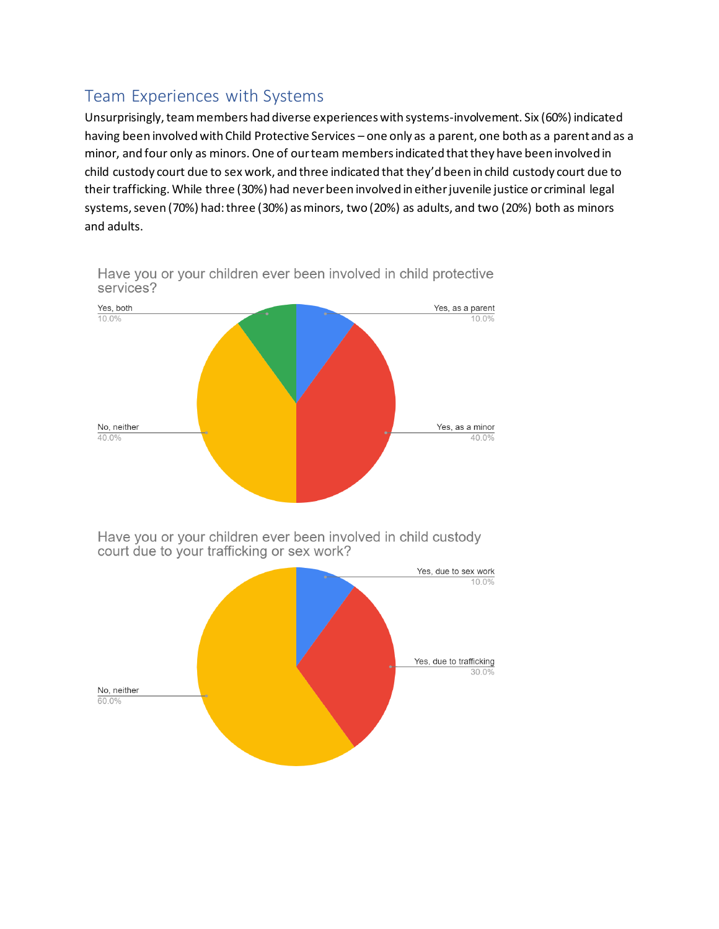## Team Experiences with Systems

Unsurprisingly, team members had diverse experiences with systems-involvement. Six (60%) indicated having been involved with Child Protective Services – one only as a parent, one both as a parent and as a minor, and four only as minors. One of our team members indicated that they have been involved in child custody court due to sex work, and three indicated that they'd been in child custody court due to their trafficking. While three (30%) had never been involved in either juvenile justice or criminal legal systems, seven (70%) had: three (30%) as minors, two (20%) as adults, and two (20%) both as minors and adults.



Have you or your children ever been involved in child protective services?

Have you or your children ever been involved in child custody court due to your trafficking or sex work?

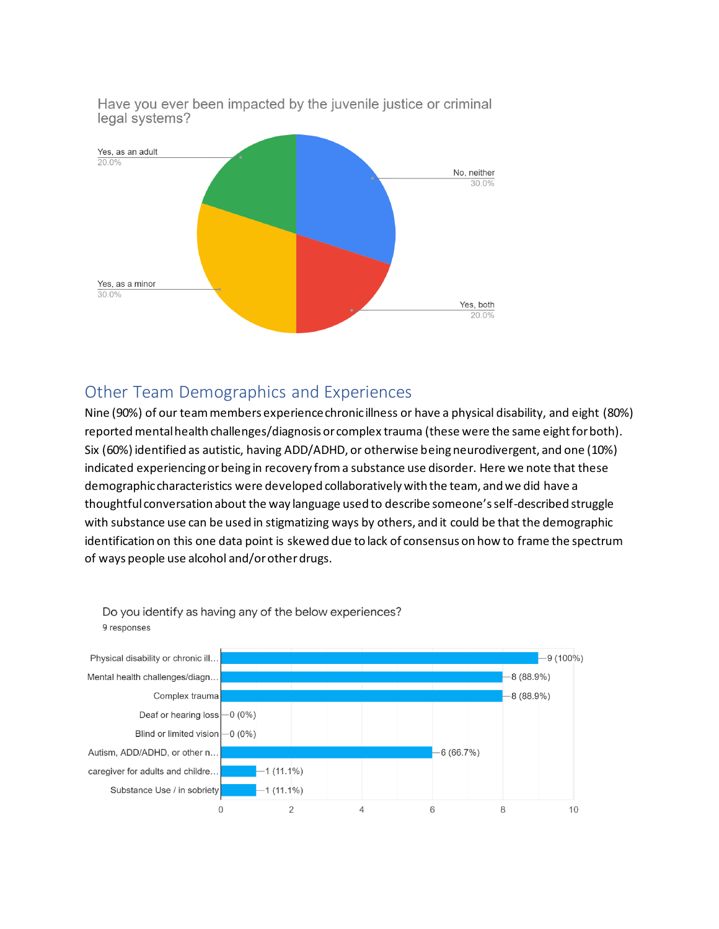



## Other Team Demographics and Experiences

Nine (90%) of our team members experience chronic illness or have a physical disability, and eight (80%) reported mental health challenges/diagnosis or complex trauma (these were the same eight for both). Six (60%) identified as autistic, having ADD/ADHD, or otherwise being neurodivergent, and one (10%) indicated experiencing or being in recovery from a substance use disorder. Here we note that these demographic characteristics were developed collaboratively with the team, and we did have a thoughtful conversation about the way language used to describe someone's self-described struggle with substance use can be used in stigmatizing ways by others, and it could be that the demographic identification on this one data point is skewed due to lack of consensus on how to frame the spectrum of ways people use alcohol and/or other drugs.



Do you identify as having any of the below experiences? 9 responses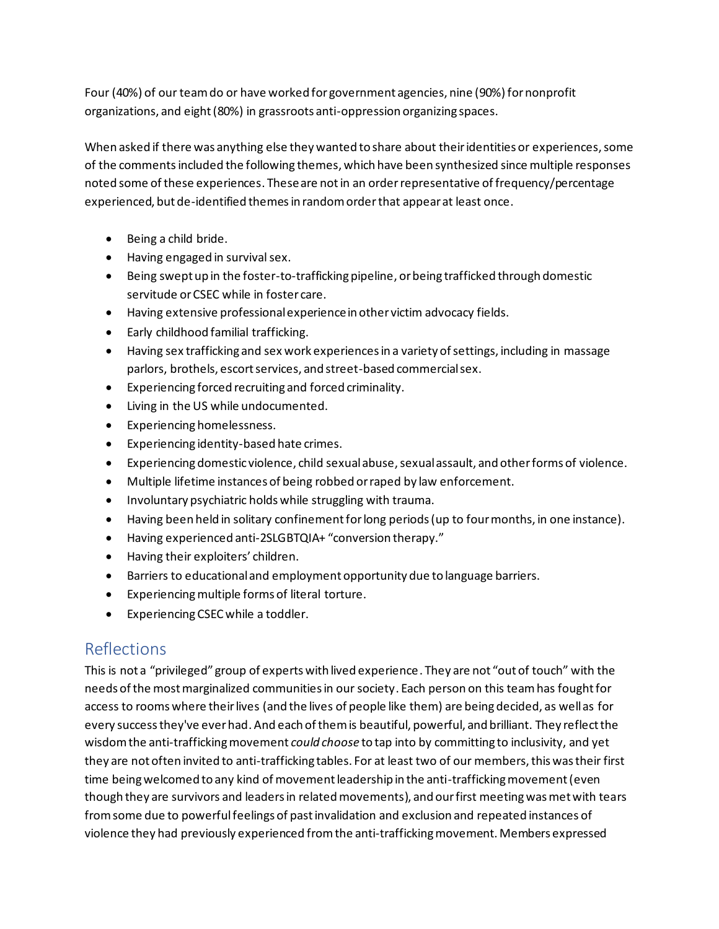Four (40%) of our team do or have worked for government agencies, nine (90%) for nonprofit organizations, and eight (80%) in grassroots anti-oppression organizing spaces.

When asked if there was anything else they wanted to share about their identities or experiences, some of the commentsincluded the following themes, which have been synthesized since multiple responses noted some of these experiences. These are notin an orderrepresentative of frequency/percentage experienced, but de-identified themesin random orderthat appear at least once.

- Being a child bride.
- Having engaged in survival sex.
- Being swept up in the foster-to-trafficking pipeline, or being trafficked through domestic servitude or CSEC while in foster care.
- Having extensive professional experience in other victim advocacy fields.
- Early childhood familial trafficking.
- Having sex trafficking and sex work experiences in a variety of settings, including in massage parlors, brothels, escort services, and street-based commercial sex.
- Experiencing forced recruiting and forced criminality.
- Living in the US while undocumented.
- Experiencing homelessness.
- Experiencing identity-based hate crimes.
- Experiencing domestic violence, child sexual abuse, sexual assault, and other forms of violence.
- Multiple lifetime instances of being robbed or raped by law enforcement.
- Involuntary psychiatric holds while struggling with trauma.
- Having been held in solitary confinement for long periods (up to four months, in one instance).
- Having experienced anti-2SLGBTQIA+ "conversion therapy."
- Having their exploiters' children.
- Barriers to educational and employment opportunity due to language barriers.
- Experiencing multiple forms of literal torture.
- Experiencing CSEC while a toddler.

# Reflections

This is not a "privileged" group of experts with lived experience. They are not "out of touch" with the needs of the most marginalized communities in our society. Each person on this team has fought for access to rooms where their lives (and the lives of people like them) are being decided, as well as for every success they've ever had. And each of them is beautiful, powerful, and brilliant. They reflect the wisdom the anti-trafficking movement *could choose* to tap into by committing to inclusivity, and yet they are not often invited to anti-trafficking tables. For at least two of our members, this was their first time being welcomed to any kind of movement leadership in the anti-trafficking movement (even though they are survivors and leaders in related movements), and our first meeting was met with tears from some due to powerful feelings of pastinvalidation and exclusion and repeated instances of violence they had previously experienced from the anti-trafficking movement. Members expressed